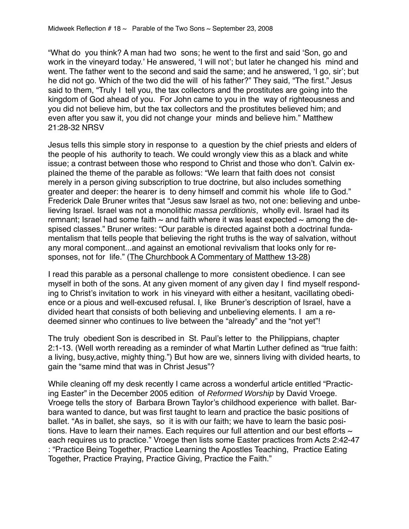"What do you think? A man had two sons; he went to the first and said 'Son, go and work in the vineyard today.' He answered, 'I will not'; but later he changed his mind and went. The father went to the second and said the same; and he answered, 'I go, sir'; but he did not go. Which of the two did the will of his father?" They said, "The first." Jesus said to them, "Truly I tell you, the tax collectors and the prostitutes are going into the kingdom of God ahead of you. For John came to you in the way of righteousness and you did not believe him, but the tax collectors and the prostitutes believed him; and even after you saw it, you did not change your minds and believe him." Matthew 21:28-32 NRSV

Jesus tells this simple story in response to a question by the chief priests and elders of the people of his authority to teach. We could wrongly view this as a black and white issue; a contrast between those who respond to Christ and those who don't. Calvin explained the theme of the parable as follows: "We learn that faith does not consist merely in a person giving subscription to true doctrine, but also includes something greater and deeper: the hearer is to deny himself and commit his whole life to God." Frederick Dale Bruner writes that "Jesus saw Israel as two, not one: believing and unbelieving Israel. Israel was not a monolithic massa perditionis, wholly evil. Israel had its remnant; Israel had some faith  $\sim$  and faith where it was least expected  $\sim$  among the despised classes." Bruner writes: "Our parable is directed against both a doctrinal fundamentalism that tells people that believing the right truths is the way of salvation, without any moral component...and against an emotional revivalism that looks only for responses, not for life." (The Churchbook A Commentary of Matthew 13-28)

I read this parable as a personal challenge to more consistent obedience. I can see myself in both of the sons. At any given moment of any given day I find myself responding to Christ's invitation to work in his vineyard with either a hesitant, vacillating obedience or a pious and well-excused refusal. I, like Bruner's description of Israel, have a divided heart that consists of both believing and unbelieving elements. I am a redeemed sinner who continues to live between the "already" and the "not yet"!

The truly obedient Son is described in St. Paul's letter to the Philippians, chapter 2:1-13. (Well worth rereading as a reminder of what Martin Luther defined as "true faith: a living, busy,active, mighty thing.") But how are we, sinners living with divided hearts, to gain the "same mind that was in Christ Jesus"?

While cleaning off my desk recently I came across a wonderful article entitled "Practicing Easter" in the December 2005 edition of Reformed Worship by David Vroege. Vroege tells the story of Barbara Brown Taylor's childhood experience with ballet. Barbara wanted to dance, but was first taught to learn and practice the basic positions of ballet. "As in ballet, she says, so it is with our faith; we have to learn the basic positions. Have to learn their names. Each requires our full attention and our best efforts  $\sim$ each requires us to practice." Vroege then lists some Easter practices from Acts 2:42-47 : "Practice Being Together, Practice Learning the Apostles Teaching, Practice Eating Together, Practice Praying, Practice Giving, Practice the Faith."